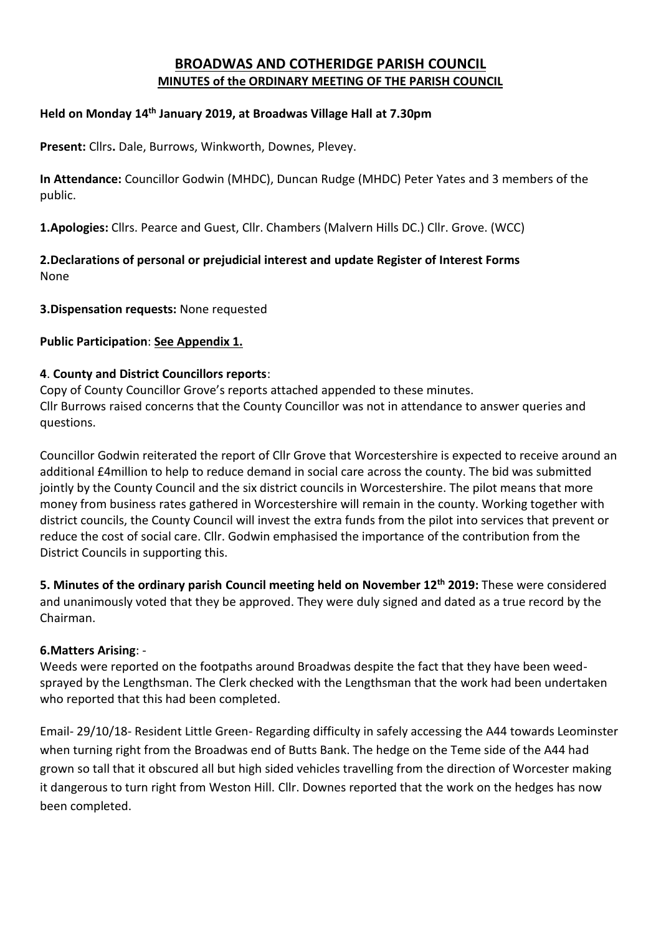# **BROADWAS AND COTHERIDGE PARISH COUNCIL MINUTES of the ORDINARY MEETING OF THE PARISH COUNCIL**

## **Held on Monday 14 th January 2019, at Broadwas Village Hall at 7.30pm**

**Present:** Cllrs**.** Dale, Burrows, Winkworth, Downes, Plevey.

**In Attendance:** Councillor Godwin (MHDC), Duncan Rudge (MHDC) Peter Yates and 3 members of the public.

**1.Apologies:** Cllrs. Pearce and Guest, Cllr. Chambers (Malvern Hills DC.) Cllr. Grove. (WCC)

**2.Declarations of personal or prejudicial interest and update Register of Interest Forms** None

### **3.Dispensation requests:** None requested

## **Public Participation**: **See Appendix 1.**

## **4**. **County and District Councillors reports**:

Copy of County Councillor Grove's reports attached appended to these minutes. Cllr Burrows raised concerns that the County Councillor was not in attendance to answer queries and questions.

Councillor Godwin reiterated the report of Cllr Grove that Worcestershire is expected to receive around an additional £4million to help to reduce demand in social care across the county. The bid was submitted jointly by the County Council and the six district councils in Worcestershire. The pilot means that more money from business rates gathered in Worcestershire will remain in the county. Working together with district councils, the County Council will invest the extra funds from the pilot into services that prevent or reduce the cost of social care. Cllr. Godwin emphasised the importance of the contribution from the District Councils in supporting this.

**5. Minutes of the ordinary parish Council meeting held on November 12th 2019:** These were considered and unanimously voted that they be approved. They were duly signed and dated as a true record by the Chairman.

### **6.Matters Arising**: -

Weeds were reported on the footpaths around Broadwas despite the fact that they have been weedsprayed by the Lengthsman. The Clerk checked with the Lengthsman that the work had been undertaken who reported that this had been completed.

Email- 29/10/18- Resident Little Green- Regarding difficulty in safely accessing the A44 towards Leominster when turning right from the Broadwas end of Butts Bank. The hedge on the Teme side of the A44 had grown so tall that it obscured all but high sided vehicles travelling from the direction of Worcester making it dangerous to turn right from Weston Hill. Cllr. Downes reported that the work on the hedges has now been completed.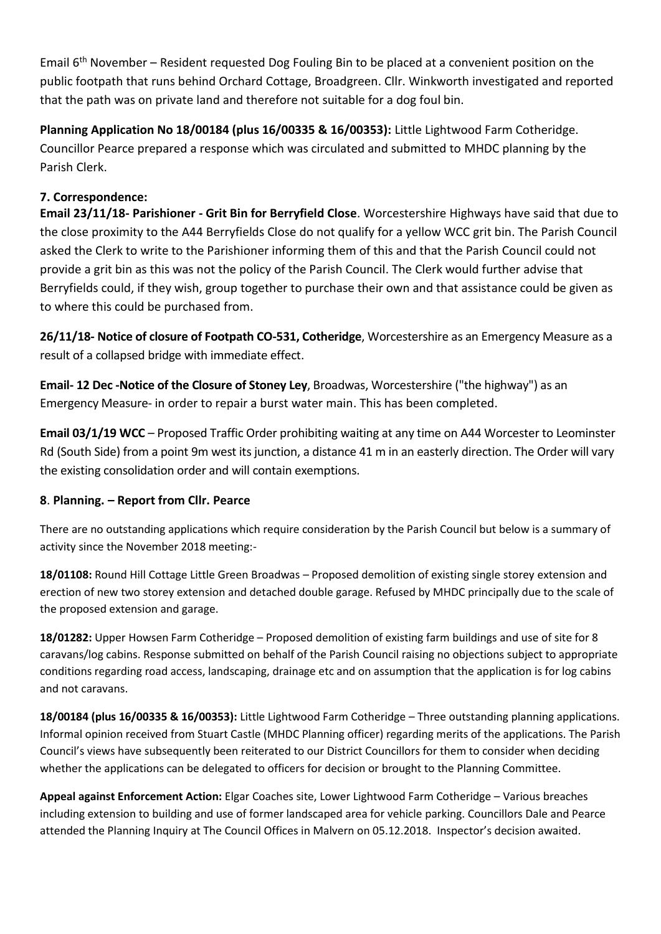Email  $6<sup>th</sup>$  November – Resident requested Dog Fouling Bin to be placed at a convenient position on the public footpath that runs behind Orchard Cottage, Broadgreen. Cllr. Winkworth investigated and reported that the path was on private land and therefore not suitable for a dog foul bin.

**Planning Application No 18/00184 (plus 16/00335 & 16/00353):** Little Lightwood Farm Cotheridge. Councillor Pearce prepared a response which was circulated and submitted to MHDC planning by the Parish Clerk.

# **7. Correspondence:**

**Email 23/11/18- Parishioner - Grit Bin for Berryfield Close**. Worcestershire Highways have said that due to the close proximity to the A44 Berryfields Close do not qualify for a yellow WCC grit bin. The Parish Council asked the Clerk to write to the Parishioner informing them of this and that the Parish Council could not provide a grit bin as this was not the policy of the Parish Council. The Clerk would further advise that Berryfields could, if they wish, group together to purchase their own and that assistance could be given as to where this could be purchased from.

**26/11/18- Notice of closure of Footpath CO-531, Cotheridge**, Worcestershire as an Emergency Measure as a result of a collapsed bridge with immediate effect.

**Email- 12 Dec -Notice of the Closure of Stoney Ley**, Broadwas, Worcestershire ("the highway") as an Emergency Measure- in order to repair a burst water main. This has been completed.

**Email 03/1/19 WCC** – Proposed Traffic Order prohibiting waiting at any time on A44 Worcester to Leominster Rd (South Side) from a point 9m west its junction, a distance 41 m in an easterly direction. The Order will vary the existing consolidation order and will contain exemptions.

## **8**. **Planning. – Report from Cllr. Pearce**

There are no outstanding applications which require consideration by the Parish Council but below is a summary of activity since the November 2018 meeting:-

**18/01108:** Round Hill Cottage Little Green Broadwas – Proposed demolition of existing single storey extension and erection of new two storey extension and detached double garage. Refused by MHDC principally due to the scale of the proposed extension and garage.

**18/01282:** Upper Howsen Farm Cotheridge – Proposed demolition of existing farm buildings and use of site for 8 caravans/log cabins. Response submitted on behalf of the Parish Council raising no objections subject to appropriate conditions regarding road access, landscaping, drainage etc and on assumption that the application is for log cabins and not caravans.

**18/00184 (plus 16/00335 & 16/00353):** Little Lightwood Farm Cotheridge – Three outstanding planning applications. Informal opinion received from Stuart Castle (MHDC Planning officer) regarding merits of the applications. The Parish Council's views have subsequently been reiterated to our District Councillors for them to consider when deciding whether the applications can be delegated to officers for decision or brought to the Planning Committee.

**Appeal against Enforcement Action:** Elgar Coaches site, Lower Lightwood Farm Cotheridge – Various breaches including extension to building and use of former landscaped area for vehicle parking. Councillors Dale and Pearce attended the Planning Inquiry at The Council Offices in Malvern on 05.12.2018. Inspector's decision awaited.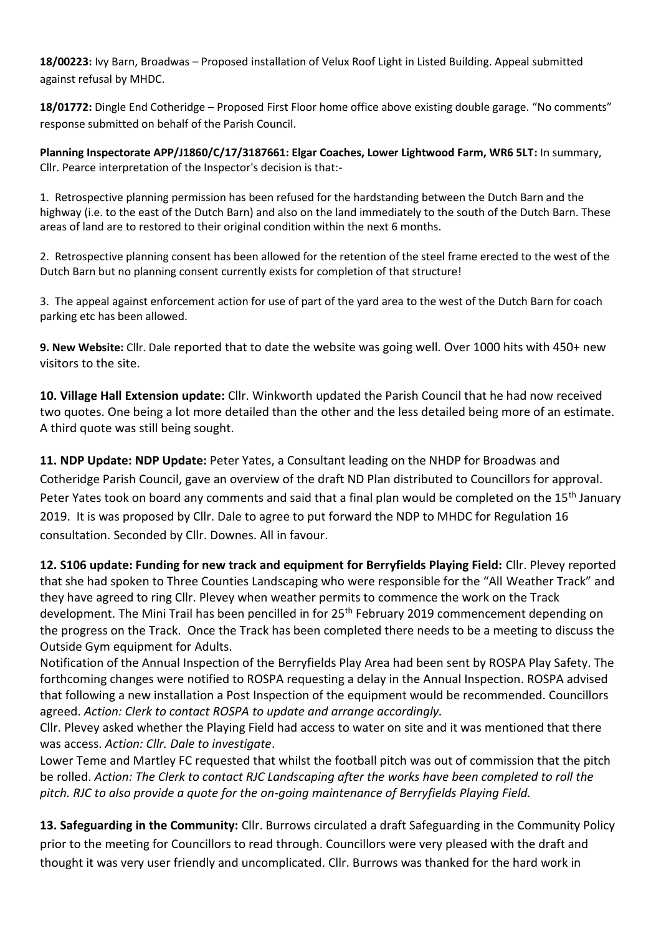**18/00223:** Ivy Barn, Broadwas – Proposed installation of Velux Roof Light in Listed Building. Appeal submitted against refusal by MHDC.

**18/01772:** Dingle End Cotheridge – Proposed First Floor home office above existing double garage. "No comments" response submitted on behalf of the Parish Council.

**Planning Inspectorate APP/J1860/C/17/3187661: Elgar Coaches, Lower Lightwood Farm, WR6 5LT:** In summary, Cllr. Pearce interpretation of the Inspector's decision is that:-

1. Retrospective planning permission has been refused for the hardstanding between the Dutch Barn and the highway (i.e. to the east of the Dutch Barn) and also on the land immediately to the south of the Dutch Barn. These areas of land are to restored to their original condition within the next 6 months.

2. Retrospective planning consent has been allowed for the retention of the steel frame erected to the west of the Dutch Barn but no planning consent currently exists for completion of that structure!

3. The appeal against enforcement action for use of part of the yard area to the west of the Dutch Barn for coach parking etc has been allowed.

**9. New Website:** Cllr. Dale reported that to date the website was going well. Over 1000 hits with 450+ new visitors to the site.

**10. Village Hall Extension update:** Cllr. Winkworth updated the Parish Council that he had now received two quotes. One being a lot more detailed than the other and the less detailed being more of an estimate. A third quote was still being sought.

**11. NDP Update: NDP Update:** Peter Yates, a Consultant leading on the NHDP for Broadwas and Cotheridge Parish Council, gave an overview of the draft ND Plan distributed to Councillors for approval. Peter Yates took on board any comments and said that a final plan would be completed on the 15<sup>th</sup> January 2019. It is was proposed by Cllr. Dale to agree to put forward the NDP to MHDC for Regulation 16 consultation. Seconded by Cllr. Downes. All in favour.

**12. S106 update: Funding for new track and equipment for Berryfields Playing Field:** Cllr. Plevey reported that she had spoken to Three Counties Landscaping who were responsible for the "All Weather Track" and they have agreed to ring Cllr. Plevey when weather permits to commence the work on the Track development. The Mini Trail has been pencilled in for 25<sup>th</sup> February 2019 commencement depending on the progress on the Track. Once the Track has been completed there needs to be a meeting to discuss the Outside Gym equipment for Adults.

Notification of the Annual Inspection of the Berryfields Play Area had been sent by ROSPA Play Safety. The forthcoming changes were notified to ROSPA requesting a delay in the Annual Inspection. ROSPA advised that following a new installation a Post Inspection of the equipment would be recommended. Councillors agreed. *Action: Clerk to contact ROSPA to update and arrange accordingly.*

Cllr. Plevey asked whether the Playing Field had access to water on site and it was mentioned that there was access. *Action: Cllr. Dale to investigate*.

Lower Teme and Martley FC requested that whilst the football pitch was out of commission that the pitch be rolled. *Action: The Clerk to contact RJC Landscaping after the works have been completed to roll the pitch. RJC to also provide a quote for the on-going maintenance of Berryfields Playing Field.*

**13. Safeguarding in the Community:** Cllr. Burrows circulated a draft Safeguarding in the Community Policy prior to the meeting for Councillors to read through. Councillors were very pleased with the draft and thought it was very user friendly and uncomplicated. Cllr. Burrows was thanked for the hard work in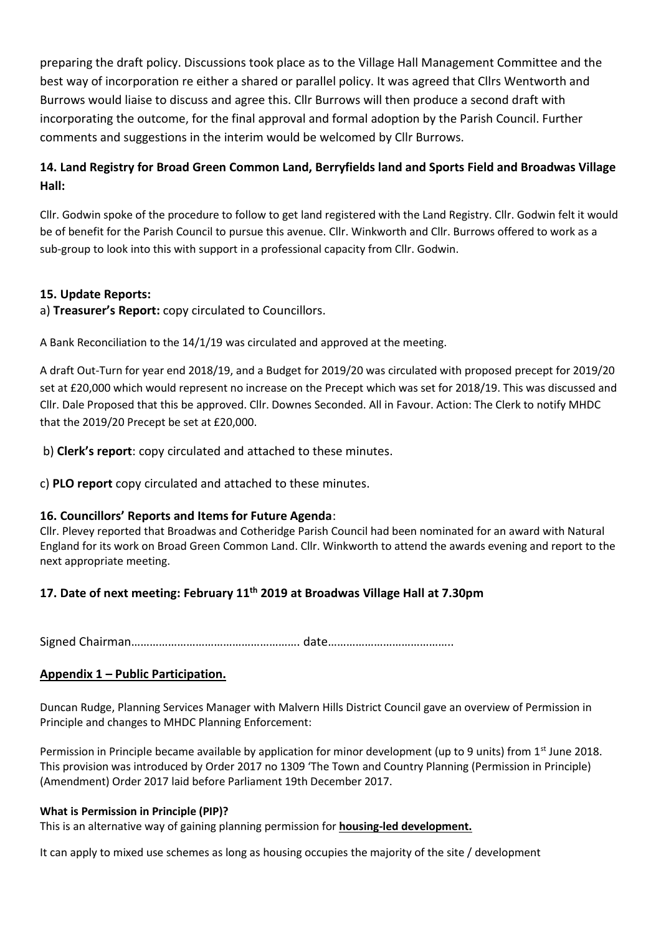preparing the draft policy. Discussions took place as to the Village Hall Management Committee and the best way of incorporation re either a shared or parallel policy. It was agreed that Cllrs Wentworth and Burrows would liaise to discuss and agree this. Cllr Burrows will then produce a second draft with incorporating the outcome, for the final approval and formal adoption by the Parish Council. Further comments and suggestions in the interim would be welcomed by Cllr Burrows.

# **14. Land Registry for Broad Green Common Land, Berryfields land and Sports Field and Broadwas Village Hall:**

Cllr. Godwin spoke of the procedure to follow to get land registered with the Land Registry. Cllr. Godwin felt it would be of benefit for the Parish Council to pursue this avenue. Cllr. Winkworth and Cllr. Burrows offered to work as a sub-group to look into this with support in a professional capacity from Cllr. Godwin.

## **15. Update Reports:**

a) **Treasurer's Report:** copy circulated to Councillors.

A Bank Reconciliation to the 14/1/19 was circulated and approved at the meeting.

A draft Out-Turn for year end 2018/19, and a Budget for 2019/20 was circulated with proposed precept for 2019/20 set at £20,000 which would represent no increase on the Precept which was set for 2018/19. This was discussed and Cllr. Dale Proposed that this be approved. Cllr. Downes Seconded. All in Favour. Action: The Clerk to notify MHDC that the 2019/20 Precept be set at £20,000.

b) **Clerk's report**: copy circulated and attached to these minutes.

c) **PLO report** copy circulated and attached to these minutes.

## **16. Councillors' Reports and Items for Future Agenda**:

Cllr. Plevey reported that Broadwas and Cotheridge Parish Council had been nominated for an award with Natural England for its work on Broad Green Common Land. Cllr. Winkworth to attend the awards evening and report to the next appropriate meeting.

## **17. Date of next meeting: February 11 th 2019 at Broadwas Village Hall at 7.30pm**

Signed Chairman………………………………………………. date…………………………………..

## **Appendix 1 – Public Participation.**

Duncan Rudge, Planning Services Manager with Malvern Hills District Council gave an overview of Permission in Principle and changes to MHDC Planning Enforcement:

Permission in Principle became available by application for minor development (up to 9 units) from 1<sup>st</sup> June 2018. This provision was introduced by Order 2017 no 1309 'The Town and Country Planning (Permission in Principle) (Amendment) Order 2017 laid before Parliament 19th December 2017.

### **What is Permission in Principle (PIP)?**

This is an alternative way of gaining planning permission for **housing-led development.**

It can apply to mixed use schemes as long as housing occupies the majority of the site / development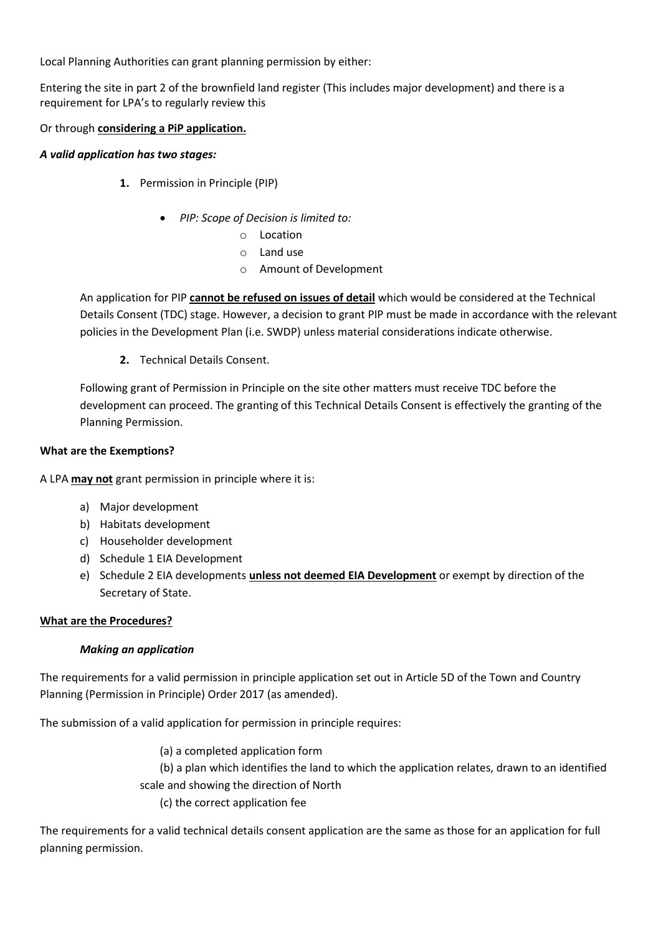Local Planning Authorities can grant planning permission by either:

Entering the site in part 2 of the brownfield land register (This includes major development) and there is a requirement for LPA's to regularly review this

### Or through **considering a PiP application.**

#### *A valid application has two stages:*

- **1.** Permission in Principle (PIP)
	- *PIP: Scope of Decision is limited to:*
		- o Location
		- o Land use
		- o Amount of Development

An application for PIP **cannot be refused on issues of detail** which would be considered at the Technical Details Consent (TDC) stage. However, a decision to grant PIP must be made in accordance with the relevant policies in the Development Plan (i.e. SWDP) unless material considerations indicate otherwise.

**2.** Technical Details Consent.

Following grant of Permission in Principle on the site other matters must receive TDC before the development can proceed. The granting of this Technical Details Consent is effectively the granting of the Planning Permission.

#### **What are the Exemptions?**

A LPA **may not** grant permission in principle where it is:

- a) Major development
- b) Habitats development
- c) Householder development
- d) Schedule 1 EIA Development
- e) Schedule 2 EIA developments **unless not deemed EIA Development** or exempt by direction of the Secretary of State.

### **What are the Procedures?**

### *Making an application*

The requirements for a valid permission in principle application set out in Article 5D of the Town and Country Planning (Permission in Principle) Order 2017 (as amended).

The submission of a valid application for permission in principle requires:

(a) a completed application form (b) a plan which identifies the land to which the application relates, drawn to an identified scale and showing the direction of North (c) the correct application fee

The requirements for a valid technical details consent application are the same as those for an application for full planning permission.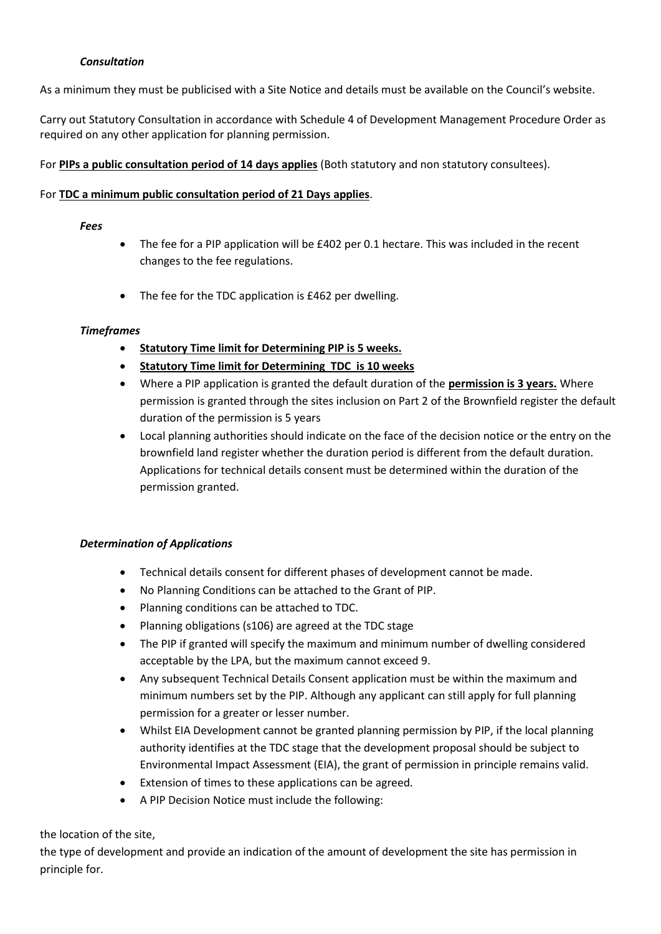### *Consultation*

As a minimum they must be publicised with a Site Notice and details must be available on the Council's website.

Carry out Statutory Consultation in accordance with Schedule 4 of Development Management Procedure Order as required on any other application for planning permission.

For **PIPs a public consultation period of 14 days applies** (Both statutory and non statutory consultees).

#### For **TDC a minimum public consultation period of 21 Days applies**.

#### *Fees*

- The fee for a PIP application will be £402 per 0.1 hectare. This was included in the recent changes to the fee regulations.
- The fee for the TDC application is £462 per dwelling.

#### *Timeframes*

- **Statutory Time limit for Determining PIP is 5 weeks.**
- **Statutory Time limit for Determining TDC is 10 weeks**
- Where a PIP application is granted the default duration of the **permission is 3 years.** Where permission is granted through the sites inclusion on Part 2 of the Brownfield register the default duration of the permission is 5 years
- Local planning authorities should indicate on the face of the decision notice or the entry on the brownfield land register whether the duration period is different from the default duration. Applications for technical details consent must be determined within the duration of the permission granted.

#### *Determination of Applications*

- Technical details consent for different phases of development cannot be made.
- No Planning Conditions can be attached to the Grant of PIP.
- Planning conditions can be attached to TDC.
- Planning obligations (s106) are agreed at the TDC stage
- The PIP if granted will specify the maximum and minimum number of dwelling considered acceptable by the LPA, but the maximum cannot exceed 9.
- Any subsequent Technical Details Consent application must be within the maximum and minimum numbers set by the PIP. Although any applicant can still apply for full planning permission for a greater or lesser number.
- Whilst EIA Development cannot be granted planning permission by PIP, if the local planning authority identifies at the TDC stage that the development proposal should be subject to Environmental Impact Assessment (EIA), the grant of permission in principle remains valid.
- Extension of times to these applications can be agreed.
- A PIP Decision Notice must include the following:

#### the location of the site,

the type of development and provide an indication of the amount of development the site has permission in principle for.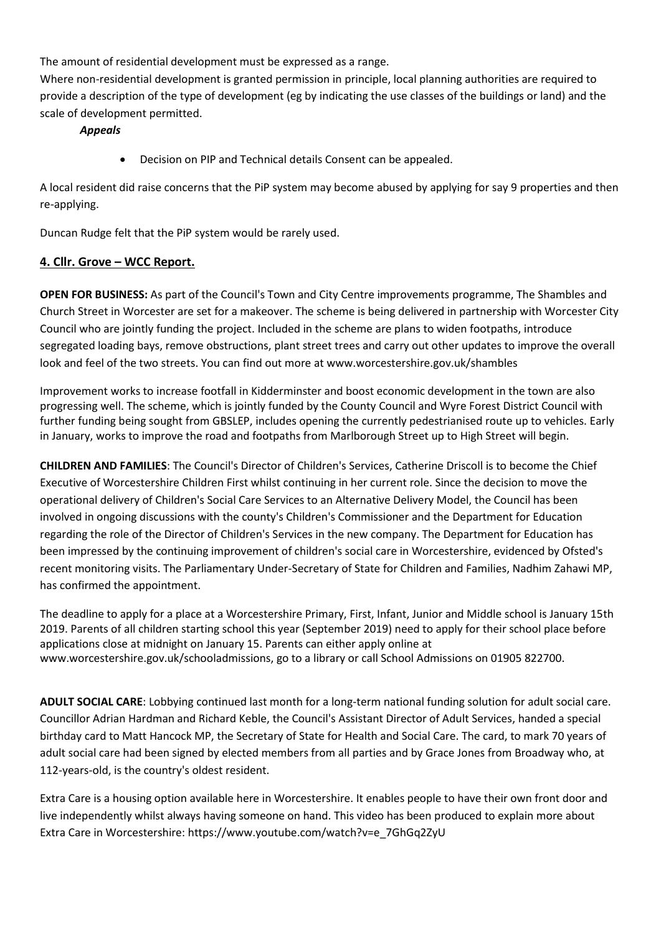The amount of residential development must be expressed as a range.

Where non-residential development is granted permission in principle, local planning authorities are required to provide a description of the type of development (eg by indicating the use classes of the buildings or land) and the scale of development permitted.

*Appeals*

• Decision on PIP and Technical details Consent can be appealed.

A local resident did raise concerns that the PiP system may become abused by applying for say 9 properties and then re-applying.

Duncan Rudge felt that the PiP system would be rarely used.

### **4. Cllr. Grove – WCC Report.**

**OPEN FOR BUSINESS:** As part of the Council's Town and City Centre improvements programme, The Shambles and Church Street in Worcester are set for a makeover. The scheme is being delivered in partnership with Worcester City Council who are jointly funding the project. Included in the scheme are plans to widen footpaths, introduce segregated loading bays, remove obstructions, plant street trees and carry out other updates to improve the overall look and feel of the two streets. You can find out more at www.worcestershire.gov.uk/shambles

Improvement works to increase footfall in Kidderminster and boost economic development in the town are also progressing well. The scheme, which is jointly funded by the County Council and Wyre Forest District Council with further funding being sought from GBSLEP, includes opening the currently pedestrianised route up to vehicles. Early in January, works to improve the road and footpaths from Marlborough Street up to High Street will begin.

**CHILDREN AND FAMILIES**: The Council's Director of Children's Services, Catherine Driscoll is to become the Chief Executive of Worcestershire Children First whilst continuing in her current role. Since the decision to move the operational delivery of Children's Social Care Services to an Alternative Delivery Model, the Council has been involved in ongoing discussions with the county's Children's Commissioner and the Department for Education regarding the role of the Director of Children's Services in the new company. The Department for Education has been impressed by the continuing improvement of children's social care in Worcestershire, evidenced by Ofsted's recent monitoring visits. The Parliamentary Under-Secretary of State for Children and Families, Nadhim Zahawi MP, has confirmed the appointment.

The deadline to apply for a place at a Worcestershire Primary, First, Infant, Junior and Middle school is January 15th 2019. Parents of all children starting school this year (September 2019) need to apply for their school place before applications close at midnight on January 15. Parents can either apply online at www.worcestershire.gov.uk/schooladmissions, go to a library or call School Admissions on 01905 822700.

**ADULT SOCIAL CARE**: Lobbying continued last month for a long-term national funding solution for adult social care. Councillor Adrian Hardman and Richard Keble, the Council's Assistant Director of Adult Services, handed a special birthday card to Matt Hancock MP, the Secretary of State for Health and Social Care. The card, to mark 70 years of adult social care had been signed by elected members from all parties and by Grace Jones from Broadway who, at 112-years-old, is the country's oldest resident.

Extra Care is a housing option available here in Worcestershire. It enables people to have their own front door and live independently whilst always having someone on hand. This video has been produced to explain more about Extra Care in Worcestershire: https://www.youtube.com/watch?v=e\_7GhGq2ZyU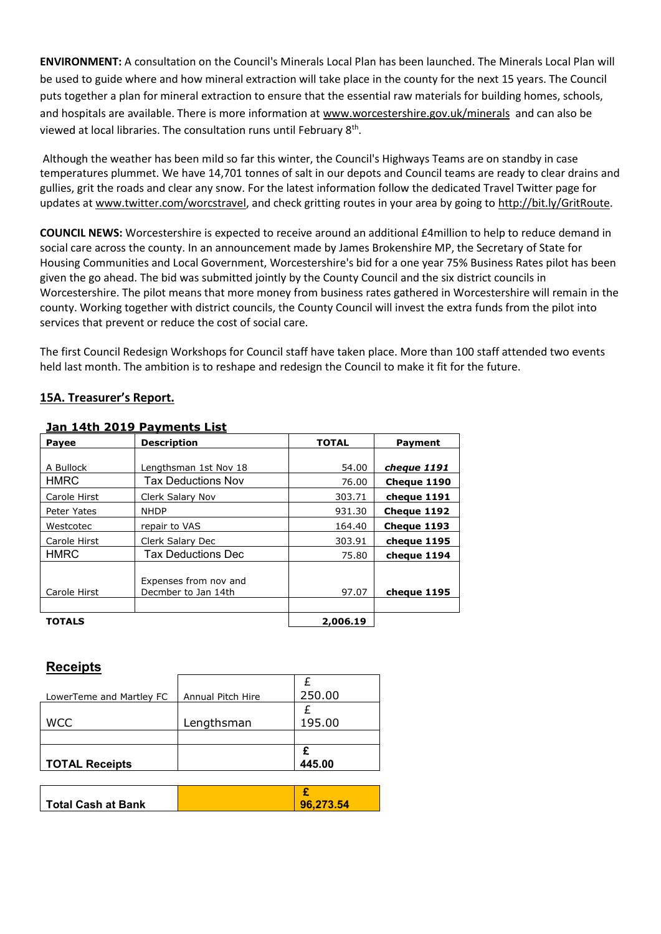**ENVIRONMENT:** A consultation on the Council's Minerals Local Plan has been launched. The Minerals Local Plan will be used to guide where and how mineral extraction will take place in the county for the next 15 years. The Council puts together a plan for mineral extraction to ensure that the essential raw materials for building homes, schools, and hospitals are available. There is more information at [www.worcestershire.gov.uk/minerals](https://outlook.worcestershire.gov.uk/owa/redir.aspx?C=frCFbqbju0qPUDLh48ew_yMnY9ud_VPiUopp1oG95oS8414EYnHWCA..&URL=http%3a%2f%2fwww.worcestershire.gov.uk%2fminerals) and can also be viewed at local libraries. The consultation runs until February 8<sup>th</sup>.

Although the weather has been mild so far this winter, the Council's Highways Teams are on standby in case temperatures plummet. We have 14,701 tonnes of salt in our depots and Council teams are ready to clear drains and gullies, grit the roads and clear any snow. For the latest information follow the dedicated Travel Twitter page for updates at [www.twitter.com/worcstravel,](https://outlook.worcestershire.gov.uk/owa/redir.aspx?C=f9UcUABxzjjuLDRidTJDx6h99tRqDGB_7R5WmUQdsoq8414EYnHWCA..&URL=http%3a%2f%2fwww.twitter.com%2fworcstravel) and check gritting routes in your area by going t[o http://bit.ly/GritRoute.](https://outlook.worcestershire.gov.uk/owa/redir.aspx?C=BMw08hyLa9IpRDk3j9remHlMjGxwJ9ZKI7_tr7yJq7y8414EYnHWCA..&URL=http%3a%2f%2fbit.ly%2fGritRoute)

**COUNCIL NEWS:** Worcestershire is expected to receive around an additional £4million to help to reduce demand in social care across the county. In an announcement made by James Brokenshire MP, the Secretary of State for Housing Communities and Local Government, Worcestershire's bid for a one year 75% Business Rates pilot has been given the go ahead. The bid was submitted jointly by the County Council and the six district councils in Worcestershire. The pilot means that more money from business rates gathered in Worcestershire will remain in the county. Working together with district councils, the County Council will invest the extra funds from the pilot into services that prevent or reduce the cost of social care.

The first Council Redesign Workshops for Council staff have taken place. More than 100 staff attended two events held last month. The ambition is to reshape and redesign the Council to make it fit for the future.

#### **15A. Treasurer's Report.**

| <b>Payee</b>  | <b>Description</b>                           | <b>TOTAL</b> | <b>Payment</b> |
|---------------|----------------------------------------------|--------------|----------------|
|               |                                              |              |                |
| A Bullock     | Lengthsman 1st Nov 18                        | 54.00        | cheque 1191    |
| <b>HMRC</b>   | Tax Deductions Nov                           | 76.00        | Cheque 1190    |
| Carole Hirst  | Clerk Salary Nov                             | 303.71       | cheque 1191    |
| Peter Yates   | <b>NHDP</b>                                  | 931.30       | Cheque 1192    |
| Westcotec     | repair to VAS                                | 164.40       | Cheque 1193    |
| Carole Hirst  | Clerk Salary Dec                             | 303.91       | cheque 1195    |
| <b>HMRC</b>   | Tax Deductions Dec                           | 75.80        | cheque 1194    |
| Carole Hirst  | Expenses from nov and<br>Decmber to Jan 14th | 97.07        | cheque 1195    |
| <b>TOTALS</b> |                                              | 2,006.19     |                |

#### **Jan 14th 2019 Payments List**

## **Receipts**

| LowerTeme and Martley FC  | Annual Pitch Hire | 250.00    |
|---------------------------|-------------------|-----------|
|                           |                   |           |
| <b>WCC</b>                | Lengthsman        | 195.00    |
|                           |                   |           |
|                           |                   |           |
| <b>TOTAL Receipts</b>     |                   | 445.00    |
|                           |                   |           |
|                           |                   |           |
| <b>Total Cash at Bank</b> |                   | 96,273.54 |